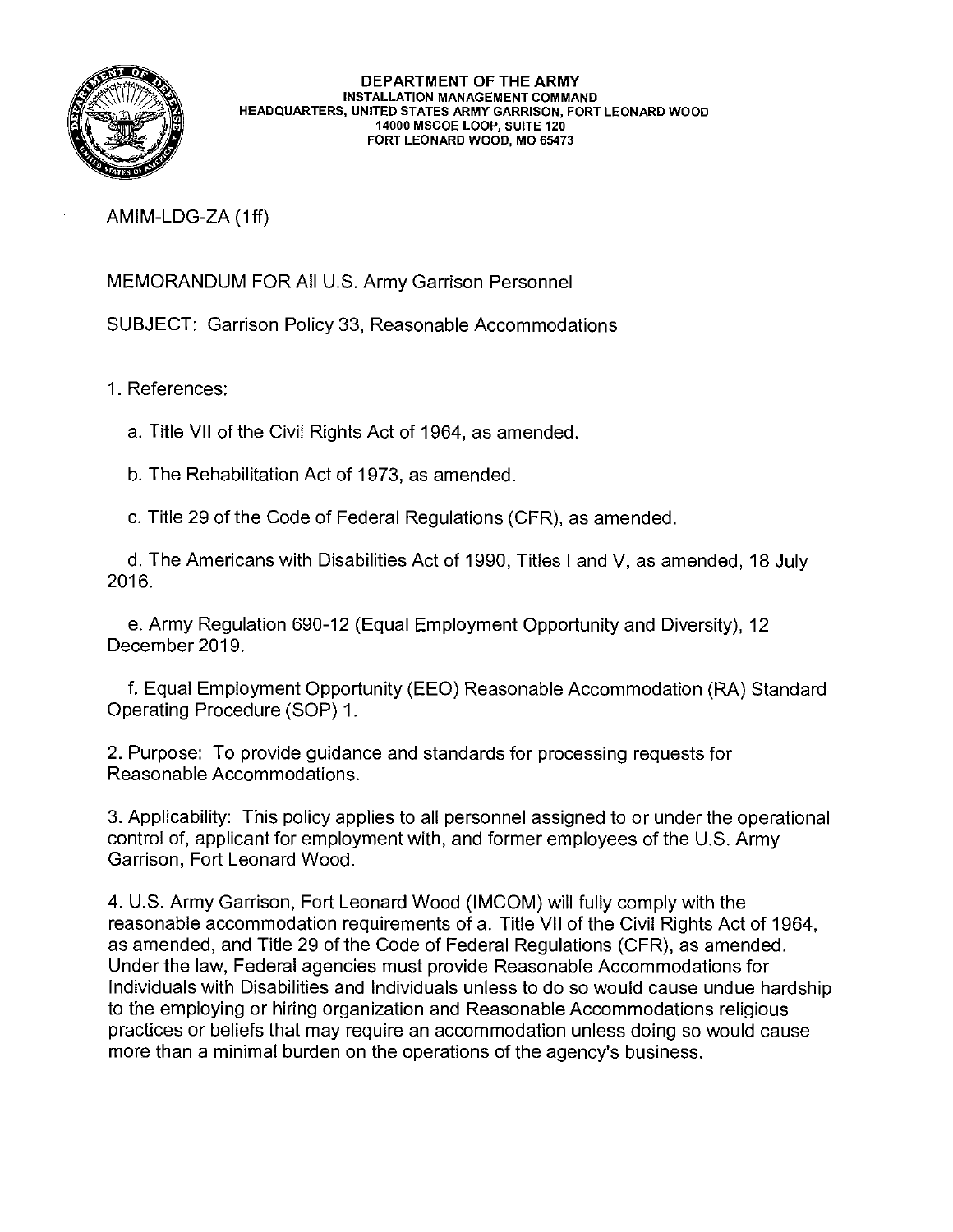

AMIM-LDG-ZA (1ff)

MEMORANDUM FOR All U.S. Army Garrison Personnel

SUBJECT: Garrison Policy 33, Reasonable Accommodations

1. References:

a. Title VII of the Civil Rights Act of 1964, as amended.

b. The Rehabilitation Act of 1973, as amended.

c. Title 29 of the Code of Federal Regulations (CFR), as amended.

d. The Americans with Disabilities Act of 1990, Titles I and V, as amended, 18 July 2016.

e. Army Regulation 690-12 (Equal Employment Opportunity and Diversity), 12 December 2019.

f. Equal Employment Opportunity (EEO) Reasonable Accommodation (RA) Standard Operating Procedure (SOP) 1.

2. Purpose: To provide guidance and standards for processing requests for Reasonable Accommodations.

3. Applicability: This policy applies to all personnel assigned to or under the operational control of, applicant for employment with, and former employees of the U.S. Army Garrison, Fort Leonard Wood.

4. U.S. Army Garrison, Fort Leonard Wood (IMCOM) will fully comply with the reasonable accommodation requirements of a. Title VII of the Civil Rights Act of 1964, as amended, and Title 29 of the Code of Federal Regulations (CFR), as amended. Under the law, Federal agencies must provide Reasonable Accommodations for Individuals with Disabilities and Individuals unless to do so would cause undue hardship to the employing or hiring organization and Reasonable Accommodations religious practices or beliefs that may require an accommodation unless doing so would cause more than a minimal burden on the operations of the agency's business.